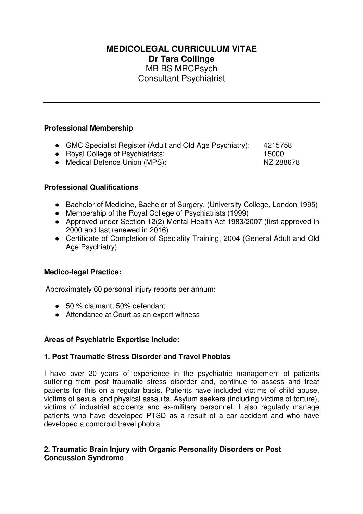# **MEDICOLEGAL CURRICULUM VITAE Dr Tara Collinge**  MB BS MRCPsych Consultant Psychiatrist

## **Professional Membership**

- GMC Specialist Register (Adult and Old Age Psychiatry): 4215758
- Royal College of Psychiatrists: 15000

● Medical Defence Union (MPS): NZ 288678

# **Professional Qualifications**

- Bachelor of Medicine, Bachelor of Surgery, (University College, London 1995)
- Membership of the Royal College of Psychiatrists (1999)
- Approved under Section 12(2) Mental Health Act 1983/2007 (first approved in 2000 and last renewed in 2016)
- Certificate of Completion of Speciality Training, 2004 (General Adult and Old Age Psychiatry)

#### **Medico-legal Practice:**

Approximately 60 personal injury reports per annum:

- 50 % claimant: 50% defendant
- Attendance at Court as an expert witness

#### **Areas of Psychiatric Expertise Include:**

#### **1. Post Traumatic Stress Disorder and Travel Phobias**

I have over 20 years of experience in the psychiatric management of patients suffering from post traumatic stress disorder and, continue to assess and treat patients for this on a regular basis. Patients have included victims of child abuse, victims of sexual and physical assaults, Asylum seekers (including victims of torture), victims of industrial accidents and ex-military personnel. I also regularly manage patients who have developed PTSD as a result of a car accident and who have developed a comorbid travel phobia.

## **2. Traumatic Brain Injury with Organic Personality Disorders or Post Concussion Syndrome**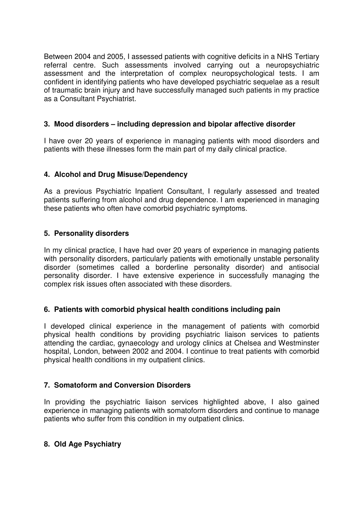Between 2004 and 2005, I assessed patients with cognitive deficits in a NHS Tertiary referral centre. Such assessments involved carrying out a neuropsychiatric assessment and the interpretation of complex neuropsychological tests. I am confident in identifying patients who have developed psychiatric sequelae as a result of traumatic brain injury and have successfully managed such patients in my practice as a Consultant Psychiatrist.

# **3. Mood disorders – including depression and bipolar affective disorder**

I have over 20 years of experience in managing patients with mood disorders and patients with these illnesses form the main part of my daily clinical practice.

# **4. Alcohol and Drug Misuse/Dependency**

As a previous Psychiatric Inpatient Consultant, I regularly assessed and treated patients suffering from alcohol and drug dependence. I am experienced in managing these patients who often have comorbid psychiatric symptoms.

## **5. Personality disorders**

In my clinical practice, I have had over 20 years of experience in managing patients with personality disorders, particularly patients with emotionally unstable personality disorder (sometimes called a borderline personality disorder) and antisocial personality disorder. I have extensive experience in successfully managing the complex risk issues often associated with these disorders.

#### **6. Patients with comorbid physical health conditions including pain**

I developed clinical experience in the management of patients with comorbid physical health conditions by providing psychiatric liaison services to patients attending the cardiac, gynaecology and urology clinics at Chelsea and Westminster hospital, London, between 2002 and 2004. I continue to treat patients with comorbid physical health conditions in my outpatient clinics.

# **7. Somatoform and Conversion Disorders**

In providing the psychiatric liaison services highlighted above, I also gained experience in managing patients with somatoform disorders and continue to manage patients who suffer from this condition in my outpatient clinics.

#### **8. Old Age Psychiatry**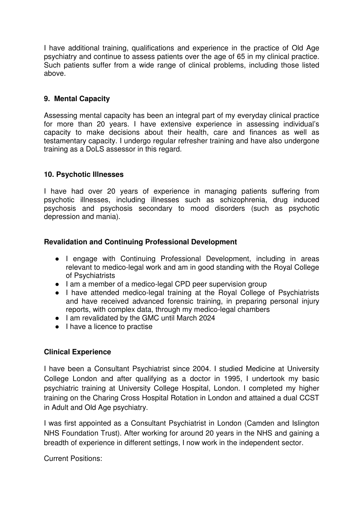I have additional training, qualifications and experience in the practice of Old Age psychiatry and continue to assess patients over the age of 65 in my clinical practice. Such patients suffer from a wide range of clinical problems, including those listed above.

## **9. Mental Capacity**

Assessing mental capacity has been an integral part of my everyday clinical practice for more than 20 years. I have extensive experience in assessing individual's capacity to make decisions about their health, care and finances as well as testamentary capacity. I undergo regular refresher training and have also undergone training as a DoLS assessor in this regard.

## **10. Psychotic Illnesses**

I have had over 20 years of experience in managing patients suffering from psychotic illnesses, including illnesses such as schizophrenia, drug induced psychosis and psychosis secondary to mood disorders (such as psychotic depression and mania).

## **Revalidation and Continuing Professional Development**

- I engage with Continuing Professional Development, including in areas relevant to medico-legal work and am in good standing with the Royal College of Psychiatrists
- I am a member of a medico-legal CPD peer supervision group
- I have attended medico-legal training at the Royal College of Psychiatrists and have received advanced forensic training, in preparing personal injury reports, with complex data, through my medico-legal chambers
- I am revalidated by the GMC until March 2024
- I have a licence to practise

#### **Clinical Experience**

I have been a Consultant Psychiatrist since 2004. I studied Medicine at University College London and after qualifying as a doctor in 1995, I undertook my basic psychiatric training at University College Hospital, London. I completed my higher training on the Charing Cross Hospital Rotation in London and attained a dual CCST in Adult and Old Age psychiatry.

I was first appointed as a Consultant Psychiatrist in London (Camden and Islington NHS Foundation Trust). After working for around 20 years in the NHS and gaining a breadth of experience in different settings, I now work in the independent sector.

Current Positions: